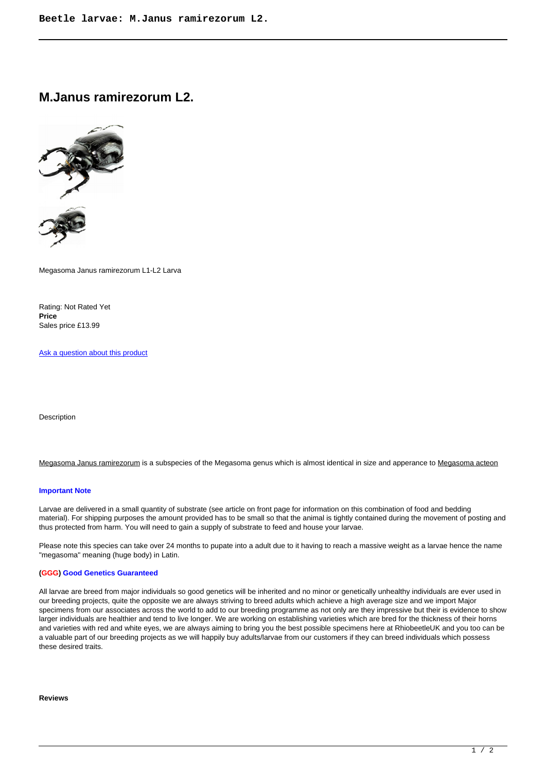**M.Janus ramirezorum L2.**



Megasoma Janus ramirezorum L1-L2 Larva

Rating: Not Rated Yet **Price**  Sales price £13.99

[Ask a question about this product](https://rhinobeetle.co.uk/index.php?option=com_virtuemart&view=productdetails&task=askquestion&virtuemart_product_id=270&virtuemart_category_id=15&tmpl=component)

Description

Megasoma Janus ramirezorum is a subspecies of the Megasoma genus which is almost identical in size and apperance to Megasoma acteon

## **Important Note**

Larvae are delivered in a small quantity of substrate (see article on front page for information on this combination of food and bedding material). For shipping purposes the amount provided has to be small so that the animal is tightly contained during the movement of posting and thus protected from harm. You will need to gain a supply of substrate to feed and house your larvae.

Please note this species can take over 24 months to pupate into a adult due to it having to reach a massive weight as a larvae hence the name "megasoma" meaning (huge body) in Latin.

## **(GGG) Good Genetics Guaranteed**

All larvae are breed from major individuals so good genetics will be inherited and no minor or genetically unhealthy individuals are ever used in our breeding projects, quite the opposite we are always striving to breed adults which achieve a high average size and we import Major specimens from our associates across the world to add to our breeding programme as not only are they impressive but their is evidence to show larger individuals are healthier and tend to live longer. We are working on establishing varieties which are bred for the thickness of their horns and varieties with red and white eyes, we are always aiming to bring you the best possible specimens here at RhiobeetleUK and you too can be a valuable part of our breeding projects as we will happily buy adults/larvae from our customers if they can breed individuals which possess these desired traits.

## **Reviews**